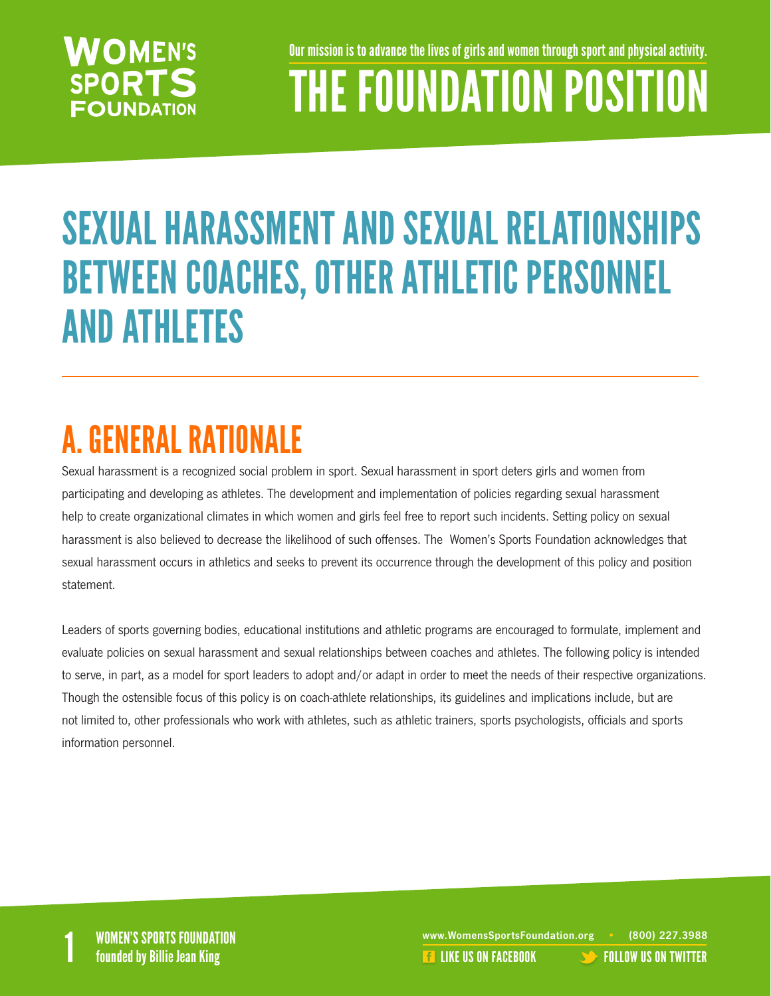#### **WOMEN'S SPORTS FOUNDATION**

Our mission is to advance the lives of girls and women through sport and physical activity.

## THE FOUNDATION POSITION

## SEXUAL HARASSMENT AND SEXUAL RELATIONSHIPS BETWEEN COACHES, OTHER ATHLETIC PERSONNEL AND ATHLETES

## A. GENERAL RATIONALE

Sexual harassment is a recognized social problem in sport. Sexual harassment in sport deters girls and women from participating and developing as athletes. The development and implementation of policies regarding sexual harassment help to create organizational climates in which women and girls feel free to report such incidents. Setting policy on sexual harassment is also believed to decrease the likelihood of such offenses. The Women's Sports Foundation acknowledges that sexual harassment occurs in athletics and seeks to prevent its occurrence through the development of this policy and position statement.

Leaders of sports governing bodies, educational institutions and athletic programs are encouraged to formulate, implement and evaluate policies on sexual harassment and sexual relationships between coaches and athletes. The following policy is intended to serve, in part, as a model for sport leaders to adopt and/or adapt in order to meet the needs of their respective organizations. Though the ostensible focus of this policy is on coach-athlete relationships, its guidelines and implications include, but are not limited to, other professionals who work with athletes, such as athletic trainers, sports psychologists, officials and sports information personnel.

WOMEN'S SPORTS FOUNDATION www.WomensSportsFoundation.org • (800) 227.3988<br>1 founded by Billie Jean King the state of the state of the state of the US ON FACEBOOK founded by Billie Jean **REA[LIKE US ON FACEBOOK](https://www.facebook.com/WomensSportsFoundation) [FOLLOW US ON TWITTER](http://twitter.com/#!/womenssportsfdn)**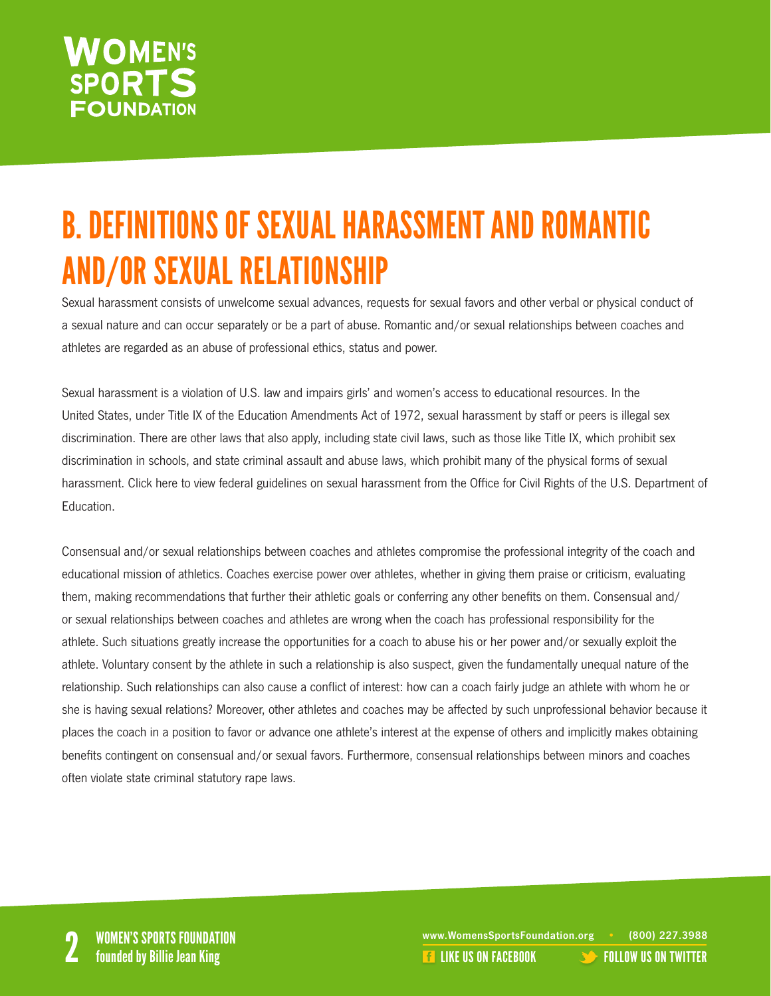#### **WOMEN'S SPORTS FOUNDATION**

## B. DEFINITIONS OF SEXUAL HARASSMENT AND ROMANTIC AND/OR SEXUAL RELATIONSHIP

Sexual harassment consists of unwelcome sexual advances, requests for sexual favors and other verbal or physical conduct of a sexual nature and can occur separately or be a part of abuse. Romantic and/or sexual relationships between coaches and athletes are regarded as an abuse of professional ethics, status and power.

Sexual harassment is a violation of U.S. law and impairs girls' and women's access to educational resources. In the United States, under Title IX of the Education Amendments Act of 1972, sexual harassment by staff or peers is illegal sex discrimination. There are other laws that also apply, including state civil laws, such as those like Title IX, which prohibit sex discrimination in schools, and state criminal assault and abuse laws, which prohibit many of the physical forms of sexual harassment. Click here to view federal guidelines on sexual harassment from the Office for Civil Rights of the U.S. Department of **Education** 

Consensual and/or sexual relationships between coaches and athletes compromise the professional integrity of the coach and educational mission of athletics. Coaches exercise power over athletes, whether in giving them praise or criticism, evaluating them, making recommendations that further their athletic goals or conferring any other benefits on them. Consensual and/ or sexual relationships between coaches and athletes are wrong when the coach has professional responsibility for the athlete. Such situations greatly increase the opportunities for a coach to abuse his or her power and/or sexually exploit the athlete. Voluntary consent by the athlete in such a relationship is also suspect, given the fundamentally unequal nature of the relationship. Such relationships can also cause a conflict of interest: how can a coach fairly judge an athlete with whom he or she is having sexual relations? Moreover, other athletes and coaches may be affected by such unprofessional behavior because it places the coach in a position to favor or advance one athlete's interest at the expense of others and implicitly makes obtaining benefits contingent on consensual and/or sexual favors. Furthermore, consensual relationships between minors and coaches often violate state criminal statutory rape laws.

www.WomensSportsFoundation.org • (800) 227.3988<br>2 **2 Founded by Billie Jean King** 2 Like US ON FACEBOOK [FOLLOW US ON TWITTER](http://twitter.com/#!/womenssportsfdn)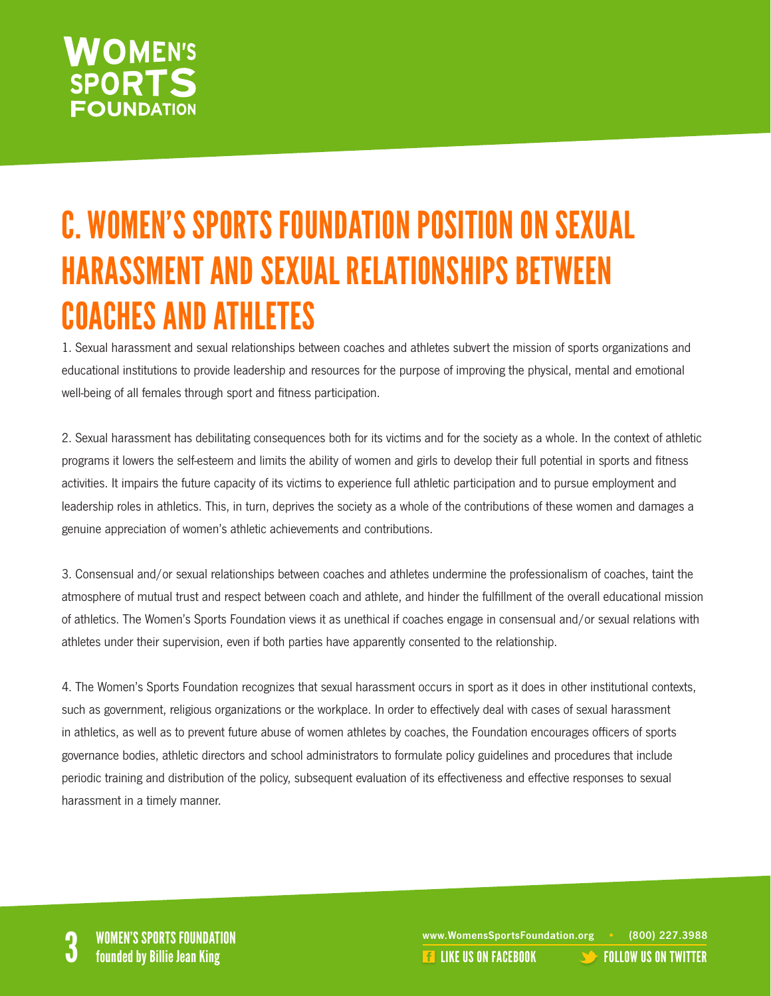#### **NOMEN'S SPORTS FOUNDATION**

## C. WOMEN'S SPORTS FOUNDATION POSITION ON SEXUAL HARASSMENT AND SEXUAL RELATIONSHIPS BETWEEN COACHES AND ATHLETES

1. Sexual harassment and sexual relationships between coaches and athletes subvert the mission of sports organizations and educational institutions to provide leadership and resources for the purpose of improving the physical, mental and emotional well-being of all females through sport and fitness participation.

2. Sexual harassment has debilitating consequences both for its victims and for the society as a whole. In the context of athletic programs it lowers the self-esteem and limits the ability of women and girls to develop their full potential in sports and fitness activities. It impairs the future capacity of its victims to experience full athletic participation and to pursue employment and leadership roles in athletics. This, in turn, deprives the society as a whole of the contributions of these women and damages a genuine appreciation of women's athletic achievements and contributions.

3. Consensual and/or sexual relationships between coaches and athletes undermine the professionalism of coaches, taint the atmosphere of mutual trust and respect between coach and athlete, and hinder the fulfillment of the overall educational mission of athletics. The Women's Sports Foundation views it as unethical if coaches engage in consensual and/or sexual relations with athletes under their supervision, even if both parties have apparently consented to the relationship.

4. The Women's Sports Foundation recognizes that sexual harassment occurs in sport as it does in other institutional contexts, such as government, religious organizations or the workplace. In order to effectively deal with cases of sexual harassment in athletics, as well as to prevent future abuse of women athletes by coaches, the Foundation encourages officers of sports governance bodies, athletic directors and school administrators to formulate policy guidelines and procedures that include periodic training and distribution of the policy, subsequent evaluation of its effectiveness and effective responses to sexual harassment in a timely manner.

WOMEN'S SPORTS FOUNDATION<br>
State of the state of the state of the state of the state of the state of the state of the state of the state o<br>
State of the US ON FACEBOOK [FOLLOW US ON TWITTER](http://twitter.com/#!/womenssportsfdn)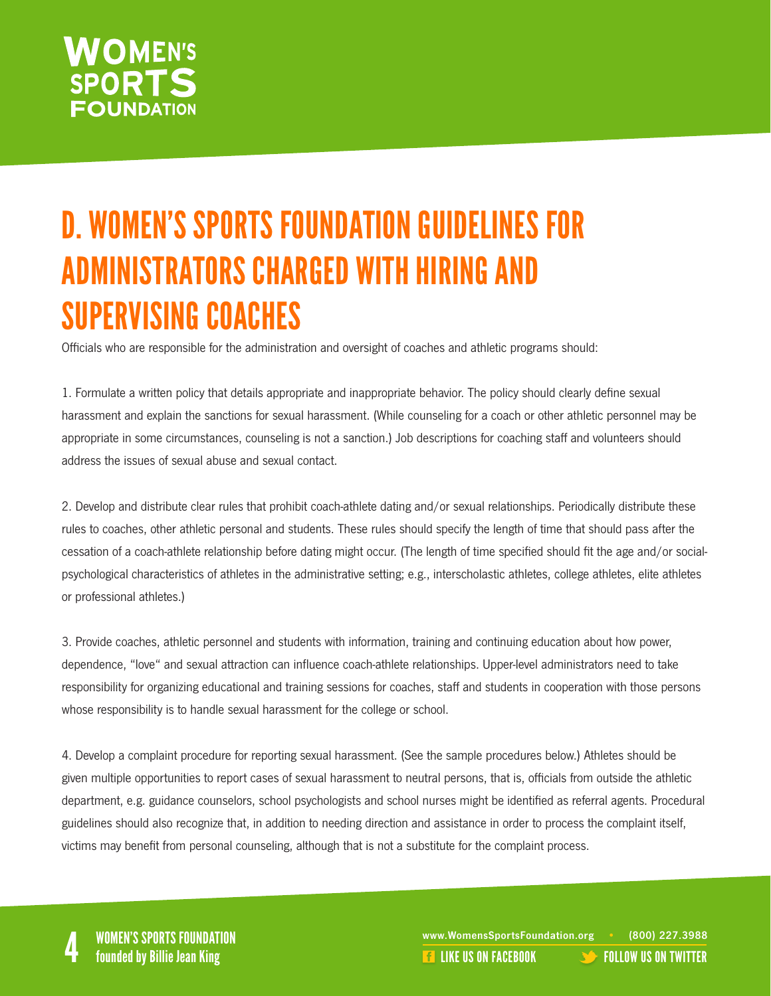#### **WOMEN'S SPORTS FOUNDATION**

## D. WOMEN'S SPORTS FOUNDATION GUIDELINES FOR ADMINISTRATORS CHARGED WITH HIRING AND SUPERVISING COACHES

Officials who are responsible for the administration and oversight of coaches and athletic programs should:

1. Formulate a written policy that details appropriate and inappropriate behavior. The policy should clearly define sexual harassment and explain the sanctions for sexual harassment. (While counseling for a coach or other athletic personnel may be appropriate in some circumstances, counseling is not a sanction.) Job descriptions for coaching staff and volunteers should address the issues of sexual abuse and sexual contact.

2. Develop and distribute clear rules that prohibit coach-athlete dating and/or sexual relationships. Periodically distribute these rules to coaches, other athletic personal and students. These rules should specify the length of time that should pass after the cessation of a coach-athlete relationship before dating might occur. (The length of time specified should fit the age and/or socialpsychological characteristics of athletes in the administrative setting; e.g., interscholastic athletes, college athletes, elite athletes or professional athletes.)

3. Provide coaches, athletic personnel and students with information, training and continuing education about how power, dependence, "love" and sexual attraction can influence coach-athlete relationships. Upper-level administrators need to take responsibility for organizing educational and training sessions for coaches, staff and students in cooperation with those persons whose responsibility is to handle sexual harassment for the college or school.

4. Develop a complaint procedure for reporting sexual harassment. (See the sample procedures below.) Athletes should be given multiple opportunities to report cases of sexual harassment to neutral persons, that is, officials from outside the athletic department, e.g. guidance counselors, school psychologists and school nurses might be identified as referral agents. Procedural guidelines should also recognize that, in addition to needing direction and assistance in order to process the complaint itself, victims may benefit from personal counseling, although that is not a substitute for the complaint process.

WOMEN'S SPORTS FOUNDATION<br>A founded by Billie Jean King the state of the state of the state of the state of the state of the state of th<br>A founded by Billie Jean King the state of the state of the state of the state of the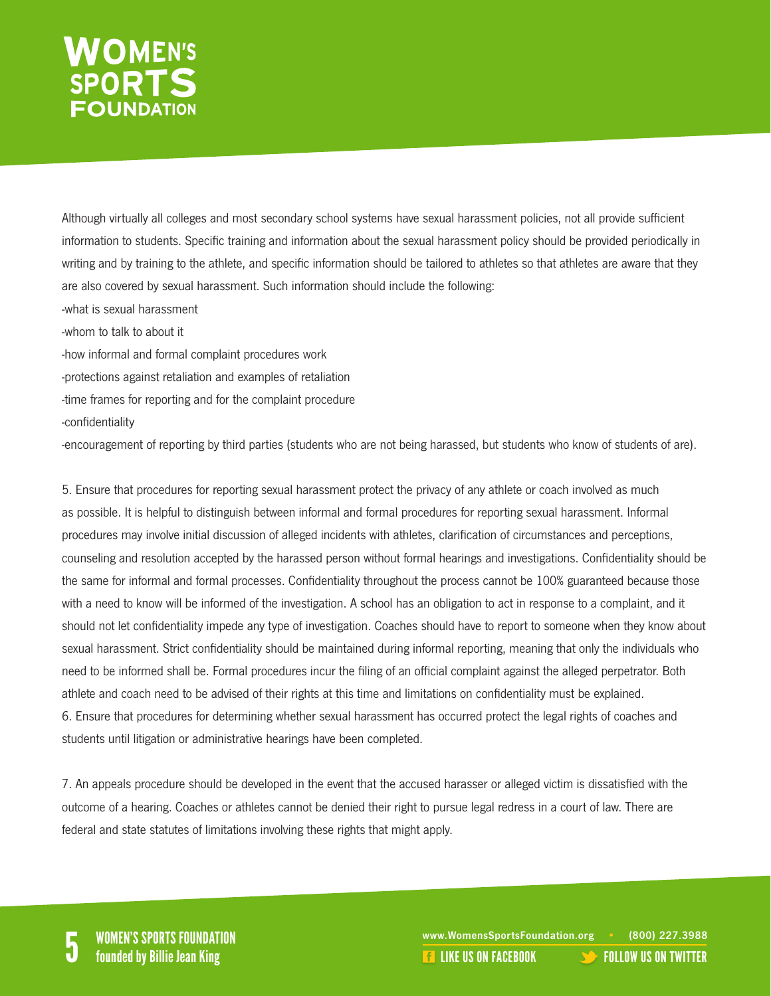# WOMEN'S<br>SPORTS

Although virtually all colleges and most secondary school systems have sexual harassment policies, not all provide sufficient information to students. Specific training and information about the sexual harassment policy should be provided periodically in writing and by training to the athlete, and specific information should be tailored to athletes so that athletes are aware that they are also covered by sexual harassment. Such information should include the following:

- -what is sexual harassment
- -whom to talk to about it
- -how informal and formal complaint procedures work
- -protections against retaliation and examples of retaliation
- -time frames for reporting and for the complaint procedure
- -confidentiality

-encouragement of reporting by third parties (students who are not being harassed, but students who know of students of are).

5. Ensure that procedures for reporting sexual harassment protect the privacy of any athlete or coach involved as much as possible. It is helpful to distinguish between informal and formal procedures for reporting sexual harassment. Informal procedures may involve initial discussion of alleged incidents with athletes, clarification of circumstances and perceptions, counseling and resolution accepted by the harassed person without formal hearings and investigations. Confidentiality should be the same for informal and formal processes. Confidentiality throughout the process cannot be 100% guaranteed because those with a need to know will be informed of the investigation. A school has an obligation to act in response to a complaint, and it should not let confidentiality impede any type of investigation. Coaches should have to report to someone when they know about sexual harassment. Strict confidentiality should be maintained during informal reporting, meaning that only the individuals who need to be informed shall be. Formal procedures incur the filing of an official complaint against the alleged perpetrator. Both athlete and coach need to be advised of their rights at this time and limitations on confidentiality must be explained. 6. Ensure that procedures for determining whether sexual harassment has occurred protect the legal rights of coaches and students until litigation or administrative hearings have been completed.

7. An appeals procedure should be developed in the event that the accused harasser or alleged victim is dissatisfied with the outcome of a hearing. Coaches or athletes cannot be denied their right to pursue legal redress in a court of law. There are federal and state statutes of limitations involving these rights that might apply.

WOMEN'S SPORTS FOUNDATION<br>
Founded by Billie Jean King The Communication of the Communication of the Communication of the Communication o<br>
Founded by Billie Jean King The Communication of the Communication of the Communica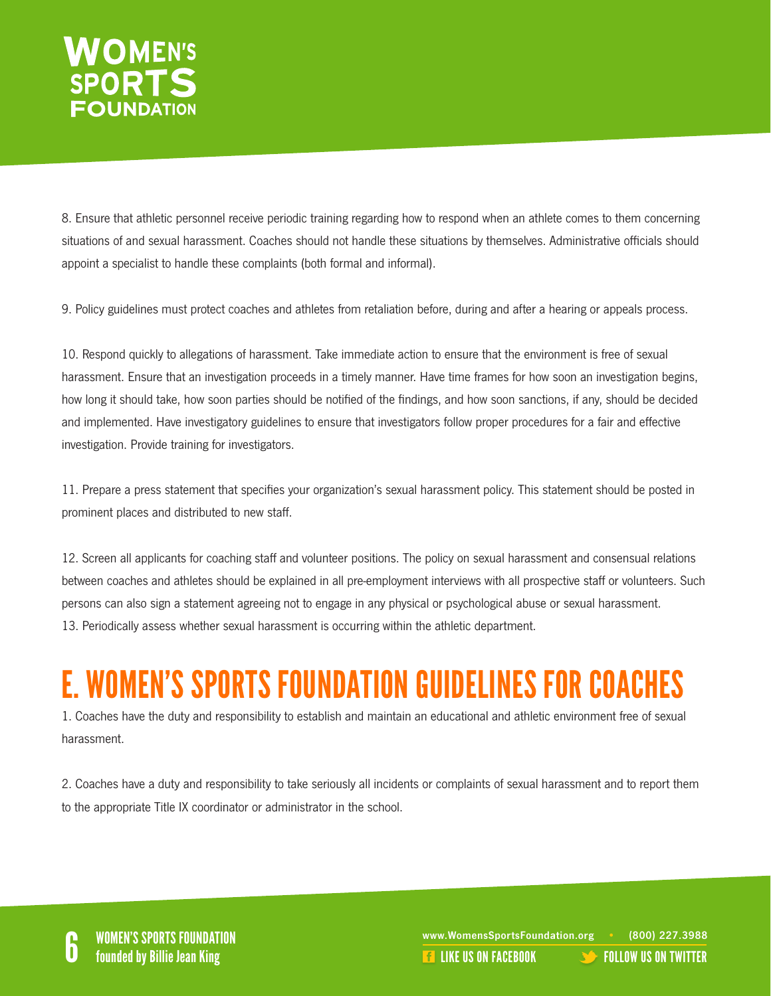#### **VOMEN'S SPORTS FOUNDATION**

8. Ensure that athletic personnel receive periodic training regarding how to respond when an athlete comes to them concerning situations of and sexual harassment. Coaches should not handle these situations by themselves. Administrative officials should appoint a specialist to handle these complaints (both formal and informal).

9. Policy guidelines must protect coaches and athletes from retaliation before, during and after a hearing or appeals process.

10. Respond quickly to allegations of harassment. Take immediate action to ensure that the environment is free of sexual harassment. Ensure that an investigation proceeds in a timely manner. Have time frames for how soon an investigation begins, how long it should take, how soon parties should be notified of the findings, and how soon sanctions, if any, should be decided and implemented. Have investigatory guidelines to ensure that investigators follow proper procedures for a fair and effective investigation. Provide training for investigators.

11. Prepare a press statement that specifies your organization's sexual harassment policy. This statement should be posted in prominent places and distributed to new staff.

12. Screen all applicants for coaching staff and volunteer positions. The policy on sexual harassment and consensual relations between coaches and athletes should be explained in all pre-employment interviews with all prospective staff or volunteers. Such persons can also sign a statement agreeing not to engage in any physical or psychological abuse or sexual harassment. 13. Periodically assess whether sexual harassment is occurring within the athletic department.

#### E. WOMEN'S SPORTS FOUNDATION GUIDELINES FOR COACHES

1. Coaches have the duty and responsibility to establish and maintain an educational and athletic environment free of sexual harassment.

2. Coaches have a duty and responsibility to take seriously all incidents or complaints of sexual harassment and to report them to the appropriate Title IX coordinator or administrator in the school.

WOMEN'S SPORTS FOUNDATION<br>
Founded by Billie Jean King **Foundation.org Profession** Communication.org Profession Communication.org Professio<br>
Founded by Billie Jean King Profession Communication Communication.org Profession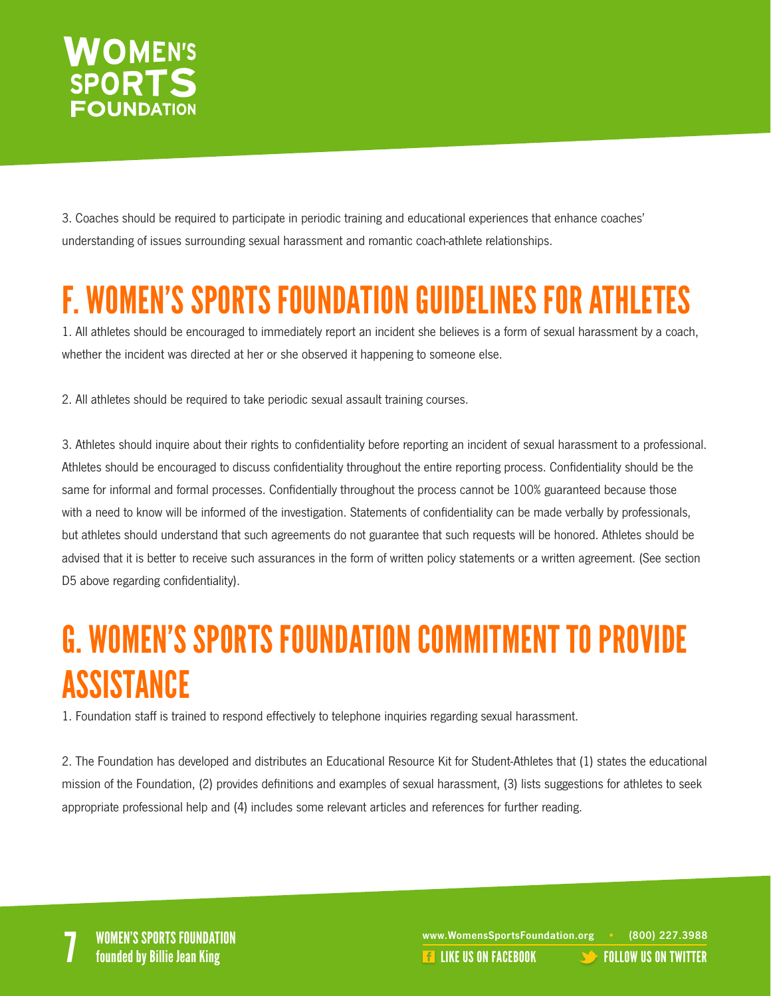

3. Coaches should be required to participate in periodic training and educational experiences that enhance coaches' understanding of issues surrounding sexual harassment and romantic coach-athlete relationships.

#### F. WOMEN'S SPORTS FOUNDATION GUIDELINES FOR ATHLETES

1. All athletes should be encouraged to immediately report an incident she believes is a form of sexual harassment by a coach, whether the incident was directed at her or she observed it happening to someone else.

2. All athletes should be required to take periodic sexual assault training courses.

3. Athletes should inquire about their rights to confidentiality before reporting an incident of sexual harassment to a professional. Athletes should be encouraged to discuss confidentiality throughout the entire reporting process. Confidentiality should be the same for informal and formal processes. Confidentially throughout the process cannot be 100% guaranteed because those with a need to know will be informed of the investigation. Statements of confidentiality can be made verbally by professionals, but athletes should understand that such agreements do not guarantee that such requests will be honored. Athletes should be advised that it is better to receive such assurances in the form of written policy statements or a written agreement. (See section D5 above regarding confidentiality).

#### G. WOMEN'S SPORTS FOUNDATION COMMITMENT TO PROVIDE ASSISTANCE

1. Foundation staff is trained to respond effectively to telephone inquiries regarding sexual harassment.

2. The Foundation has developed and distributes an Educational Resource Kit for Student-Athletes that (1) states the educational mission of the Foundation, (2) provides definitions and examples of sexual harassment, (3) lists suggestions for athletes to seek appropriate professional help and (4) includes some relevant articles and references for further reading.

WOMEN'S SPORTS FOUNDATION<br>The internal of the set of the set of the set of the set of the set of the set of the set of the set of the se<br>The [LIKE US ON FACEBOOK](https://www.facebook.com/WomensSportsFoundation) TO LIQW US ON TWITTER founded by Billie Jean King